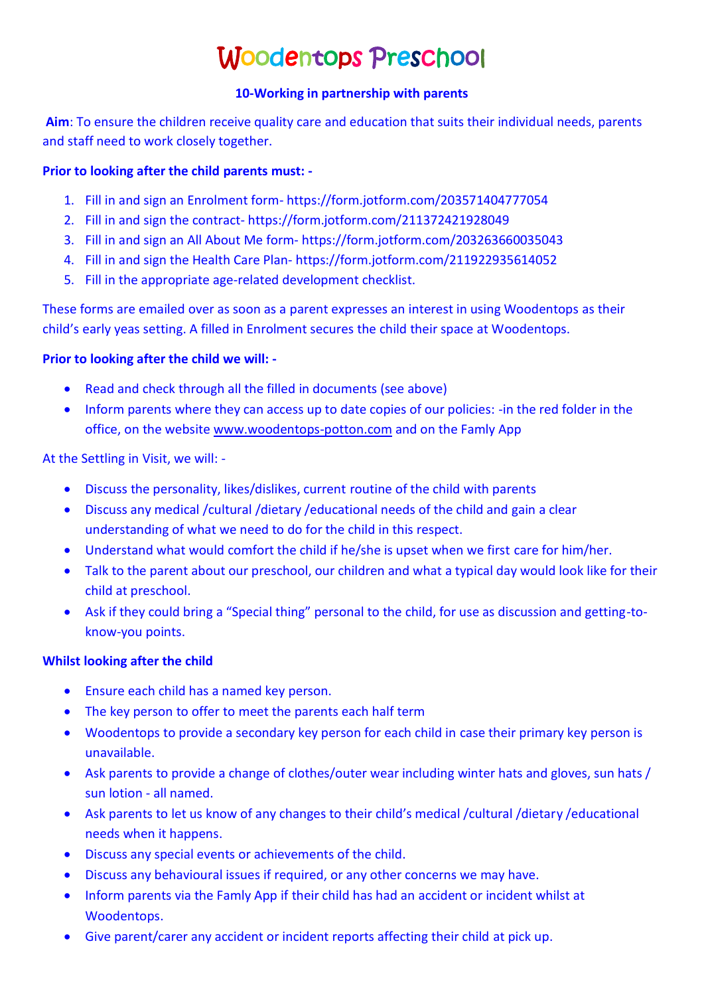# Woodentops Preschool

#### **10-Working in partnership with parents**

**Aim**: To ensure the children receive quality care and education that suits their individual needs, parents and staff need to work closely together.

#### **Prior to looking after the child parents must: -**

- 1. Fill in and sign an Enrolment form- https://form.jotform.com/203571404777054
- 2. Fill in and sign the contract- https://form.jotform.com/211372421928049
- 3. Fill in and sign an All About Me form- https://form.jotform.com/203263660035043
- 4. Fill in and sign the Health Care Plan- https://form.jotform.com/211922935614052
- 5. Fill in the appropriate age-related development checklist.

These forms are emailed over as soon as a parent expresses an interest in using Woodentops as their child's early yeas setting. A filled in Enrolment secures the child their space at Woodentops.

## **Prior to looking after the child we will: -**

- Read and check through all the filled in documents (see above)
- Inform parents where they can access up to date copies of our policies: -in the red folder in the office, on the website [www.woodentops-potton.com](http://www.woodentops-potton.com/) and on the Famly App

## At the Settling in Visit, we will: -

- Discuss the personality, likes/dislikes, current routine of the child with parents
- Discuss any medical /cultural /dietary /educational needs of the child and gain a clear understanding of what we need to do for the child in this respect.
- Understand what would comfort the child if he/she is upset when we first care for him/her.
- Talk to the parent about our preschool, our children and what a typical day would look like for their child at preschool.
- Ask if they could bring a "Special thing" personal to the child, for use as discussion and getting-toknow-you points.

## **Whilst looking after the child**

- Ensure each child has a named key person.
- The key person to offer to meet the parents each half term
- Woodentops to provide a secondary key person for each child in case their primary key person is unavailable.
- Ask parents to provide a change of clothes/outer wear including winter hats and gloves, sun hats / sun lotion - all named.
- Ask parents to let us know of any changes to their child's medical /cultural /dietary /educational needs when it happens.
- Discuss any special events or achievements of the child.
- Discuss any behavioural issues if required, or any other concerns we may have.
- Inform parents via the Famly App if their child has had an accident or incident whilst at Woodentops.
- Give parent/carer any accident or incident reports affecting their child at pick up.